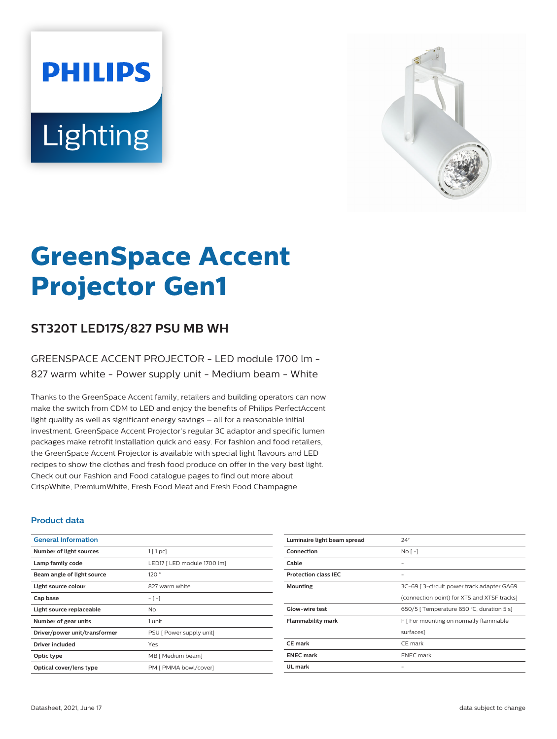# **PHILIPS** Lighting



# **GreenSpace Accent Projector Gen1**

# **ST320T LED17S/827 PSU MB WH**

### GREENSPACE ACCENT PROJECTOR - LED module 1700 lm - 827 warm white - Power supply unit - Medium beam - White

Thanks to the GreenSpace Accent family, retailers and building operators can now make the switch from CDM to LED and enjoy the benefits of Philips PerfectAccent light quality as well as significant energy savings – all for a reasonable initial investment. GreenSpace Accent Projector's regular 3C adaptor and specific lumen packages make retrofit installation quick and easy. For fashion and food retailers, the GreenSpace Accent Projector is available with special light flavours and LED recipes to show the clothes and fresh food produce on offer in the very best light. Check out our Fashion and Food catalogue pages to find out more about CrispWhite, PremiumWhite, Fresh Food Meat and Fresh Food Champagne.

#### **Product data**

| <b>General Information</b>    |                             |
|-------------------------------|-----------------------------|
| Number of light sources       | 1[1pc]                      |
| Lamp family code              | LED17 [ LED module 1700 lm] |
| Beam angle of light source    | 120°                        |
| Light source colour           | 827 warm white              |
| Cap base                      | $-[-]$                      |
| Light source replaceable      | No.                         |
| Number of gear units          | 1 unit                      |
| Driver/power unit/transformer | PSU [ Power supply unit]    |
| Driver included               | Yes                         |
| Optic type                    | MB [ Medium beam]           |
| Optical cover/lens type       | PM [ PMMA bowl/cover]       |

| Luminaire light beam spread | $24^\circ$                                  |
|-----------------------------|---------------------------------------------|
| Connection                  | No <sub>1</sub>                             |
| Cable                       |                                             |
| <b>Protection class IEC</b> | -                                           |
| <b>Mounting</b>             | 3C-69   3-circuit power track adapter GA69  |
|                             | (connection point) for XTS and XTSF tracks] |
| Glow-wire test              | 650/5   Temperature 650 °C, duration 5 s]   |
| <b>Flammability mark</b>    | F   For mounting on normally flammable      |
|                             | surfaces]                                   |
| <b>CE</b> mark              | CE mark                                     |
| <b>ENEC mark</b>            | <b>ENEC</b> mark                            |
| UL mark                     |                                             |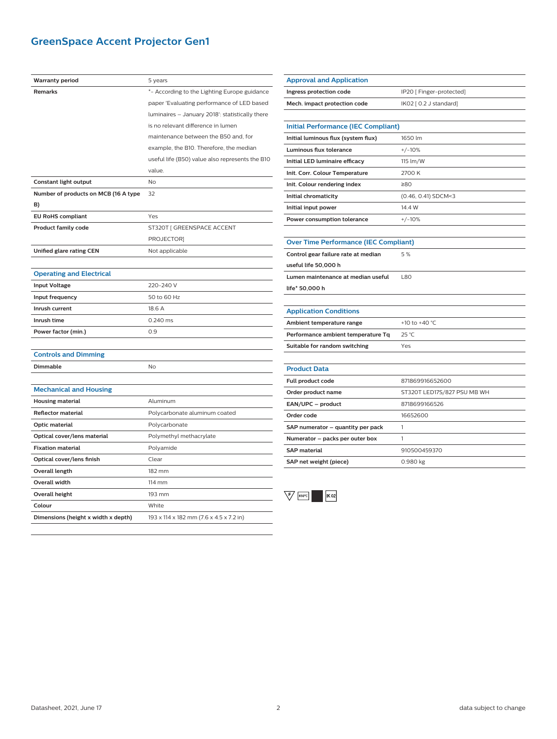# **GreenSpace Accent Projector Gen1**

| <b>Warranty period</b>               | 5 years                                         |
|--------------------------------------|-------------------------------------------------|
| Remarks                              | *- According to the Lighting Europe guidance    |
|                                      | paper 'Evaluating performance of LED based      |
|                                      | luminaires - January 2018': statistically there |
|                                      | is no relevant difference in lumen              |
|                                      | maintenance between the B50 and, for            |
|                                      | example, the B10. Therefore, the median         |
|                                      | useful life (B50) value also represents the B10 |
|                                      | value.                                          |
| Constant light output                | <b>No</b>                                       |
| Number of products on MCB (16 A type | 32                                              |
| B)                                   |                                                 |
| <b>EU RoHS compliant</b>             | Yes                                             |
| <b>Product family code</b>           | ST320T [ GREENSPACE ACCENT                      |
|                                      | PROJECTOR]                                      |
| <b>Unified glare rating CEN</b>      | Not applicable                                  |
|                                      |                                                 |
| <b>Operating and Electrical</b>      |                                                 |
| <b>Input Voltage</b>                 | 220-240 V                                       |
| Input frequency                      | 50 to 60 Hz                                     |
| Inrush current                       | 18.6 A                                          |
| Inrush time                          | 0.240 ms                                        |
| Power factor (min.)                  | 0.9                                             |
|                                      |                                                 |
| <b>Controls and Dimming</b>          |                                                 |
| Dimmable                             | <b>No</b>                                       |
|                                      |                                                 |
| <b>Mechanical and Housing</b>        |                                                 |
| Housing material                     | Aluminum                                        |
| <b>Reflector material</b>            | Polycarbonate aluminum coated                   |
| Optic material                       | Polycarbonate                                   |
| Optical cover/lens material          | Polymethyl methacrylate                         |
| <b>Fixation material</b>             | Polyamide                                       |
| Optical cover/lens finish            | Clear                                           |
| Overall length                       | 182 mm                                          |
| Overall width                        | 114 mm                                          |
| <b>Overall height</b>                | 193 mm                                          |
| Colour                               | White                                           |
| Dimensions (height x width x depth)  | 193 x 114 x 182 mm (7.6 x 4.5 x 7.2 in)         |
|                                      |                                                 |

| <b>Approval and Application</b>              |                             |  |
|----------------------------------------------|-----------------------------|--|
| Ingress protection code                      | IP20 [ Finger-protected]    |  |
| Mech. impact protection code                 | IK02 [ 0.2 J standard]      |  |
|                                              |                             |  |
| <b>Initial Performance (IEC Compliant)</b>   |                             |  |
| Initial luminous flux (system flux)          | 1650 lm                     |  |
| <b>Luminous flux tolerance</b>               | $+/-10%$                    |  |
| Initial LED luminaire efficacy               | 115 lm/W                    |  |
| Init. Corr. Colour Temperature               | 2700 K                      |  |
| Init. Colour rendering index                 | ≥80                         |  |
| Initial chromaticity                         | (0.46, 0.41) SDCM<3         |  |
| Initial input power                          | 14.4 W                      |  |
| Power consumption tolerance                  | $+/-10%$                    |  |
|                                              |                             |  |
| <b>Over Time Performance (IEC Compliant)</b> |                             |  |
| Control gear failure rate at median          | 5%                          |  |
| useful life 50,000 h                         |                             |  |
| Lumen maintenance at median useful           | 1.80                        |  |
| life* 50,000 h                               |                             |  |
|                                              |                             |  |
| <b>Application Conditions</b>                |                             |  |
| Ambient temperature range                    | +10 to +40 °C               |  |
| Performance ambient temperature Tq           | 25 °C                       |  |
| Suitable for random switching                | Yes                         |  |
|                                              |                             |  |
| <b>Product Data</b>                          |                             |  |
| Full product code                            | 871869916652600             |  |
| Order product name                           | ST320T LED17S/827 PSU MB WH |  |
| EAN/UPC - product                            | 8718699166526               |  |
| Order code                                   | 16652600                    |  |
| SAP numerator - quantity per pack            | 1                           |  |
| Numerator - packs per outer box              | 1                           |  |
| <b>SAP material</b>                          | 910500459370                |  |
| SAP net weight (piece)                       | 0.980 kg                    |  |

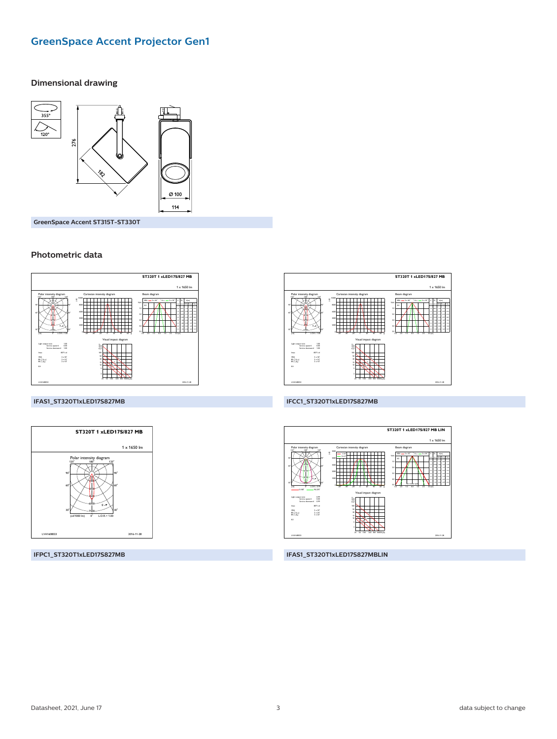# **GreenSpace Accent Projector Gen1**

#### **Dimensional drawing**



GreenSpace Accent ST315T-ST330T

#### Photometric data



#### IFAS1\_ST320T1xLED17S827MB



ST320T 1 xLED17S/827 MB

Beam dia

 $1 - 1650$